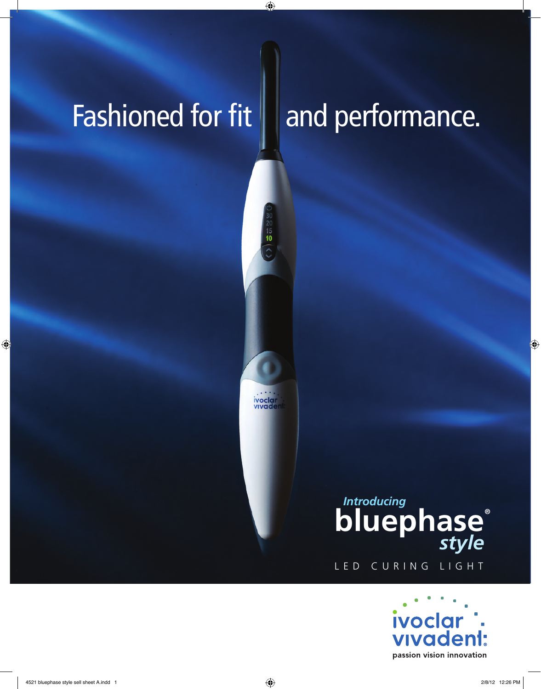# Fashioned for fit  $\parallel$  and performance.

ivoclar<br>vivade

 $\frac{20}{15}$ 

## bluephase® *style* LED CURING LIGHT *Introducing*